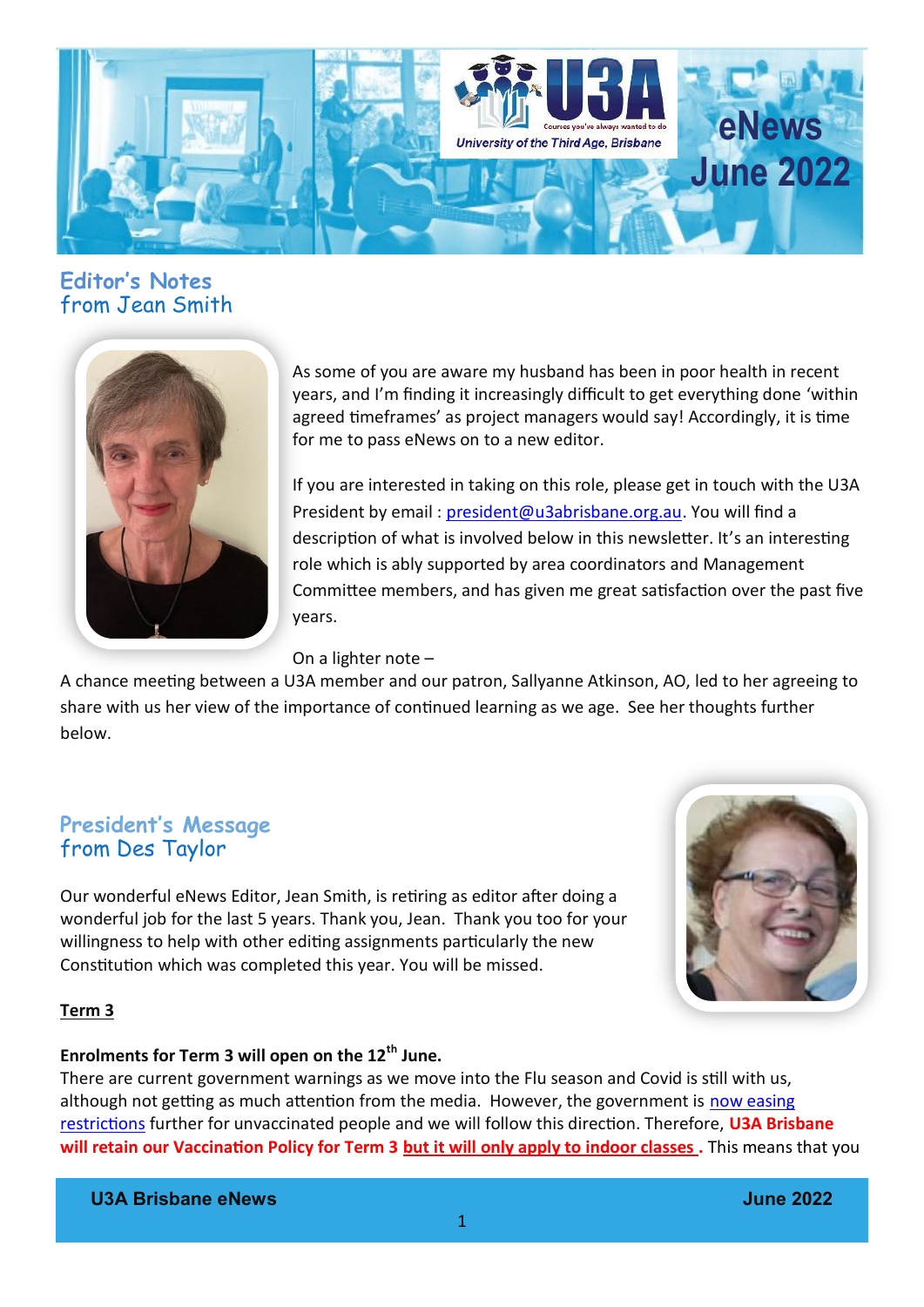

### **Editor's Notes**  from Jean Smith



As some of you are aware my husband has been in poor health in recent years, and I'm finding it increasingly difficult to get everything done 'within agreed timeframes' as project managers would say! Accordingly, it is time for me to pass eNews on to a new editor.

If you are interested in taking on this role, please get in touch with the U3A President by email : [president@u3abrisbane.org.au.](mailto:president@u3abrisbane.org.au) You will find a description of what is involved below in this newsletter. It's an interesting role which is ably supported by area coordinators and Management Committee members, and has given me great satisfaction over the past five years.

On a lighter note –

A chance meeting between a U3A member and our patron, Sallyanne Atkinson, AO, led to her agreeing to share with us her view of the importance of continued learning as we age. See her thoughts further below.

### **President's Message** from Des Taylor

Our wonderful eNews Editor, Jean Smith, is retiring as editor after doing a wonderful job for the last 5 years. Thank you, Jean. Thank you too for your willingness to help with other editing assignments particularly the new Constitution which was completed this year. You will be missed.



#### **Term 3**

#### **Enrolments for Term 3 will open on the 12th June.**

There are current government warnings as we move into the Flu season and Covid is still with us, although not getting as much attention from the media. However, the government is [now easing](https://statements.qld.gov.au/statements/95259)  [restrictions](https://statements.qld.gov.au/statements/95259) further for unvaccinated people and we will follow this direction. Therefore, **U3A Brisbane will retain our Vaccination Policy for Term 3 but it will only apply to indoor classes .** This means that you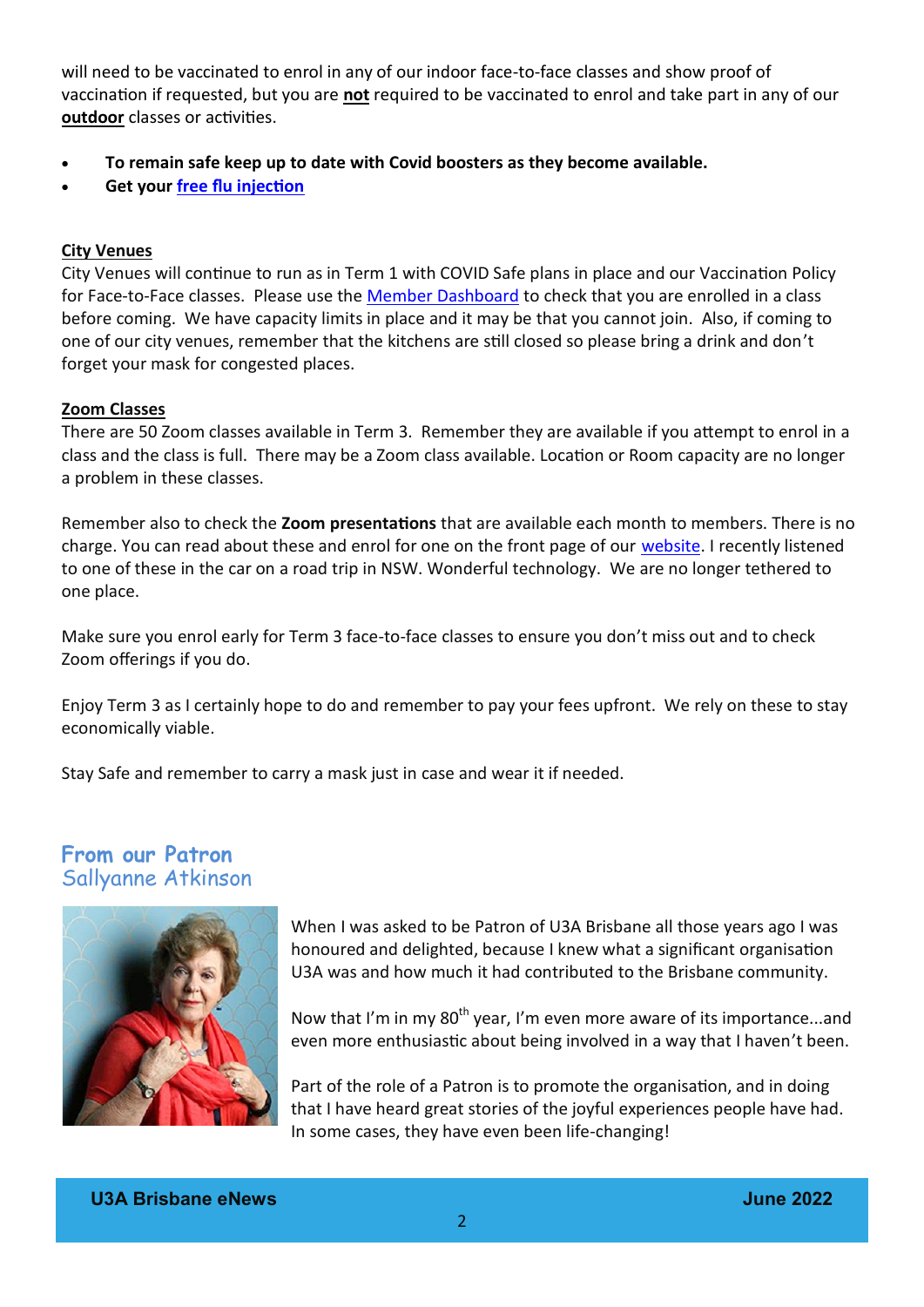will need to be vaccinated to enrol in any of our indoor face-to-face classes and show proof of vaccination if requested, but you are **not** required to be vaccinated to enrol and take part in any of our **outdoor** classes or activities.

- **To remain safe keep up to date with Covid boosters as they become available.**
- **Get your [free flu injection](https://www.qld.gov.au/health/conditions/immunisation/free-influenza-vaccinations-2022)**

#### **City Venues**

City Venues will continue to run as in Term 1 with COVID Safe plans in place and our Vaccination Policy for Face-to-Face classes. Please use the [Member Dashboard](https://www.u3abrisbane.org.au/member-enrolments) to check that you are enrolled in a class before coming. We have capacity limits in place and it may be that you cannot join. Also, if coming to one of our city venues, remember that the kitchens are still closed so please bring a drink and don't forget your mask for congested places.

#### **Zoom Classes**

There are 50 Zoom classes available in Term 3. Remember they are available if you attempt to enrol in a class and the class is full. There may be a Zoom class available. Location or Room capacity are no longer a problem in these classes.

Remember also to check the **Zoom presentations** that are available each month to members. There is no charge. You can read about these and enrol for one on the front page of our [website.](https://www.u3abrisbane.org.au/) I recently listened to one of these in the car on a road trip in NSW. Wonderful technology. We are no longer tethered to one place.

Make sure you enrol early for Term 3 face-to-face classes to ensure you don't miss out and to check Zoom offerings if you do.

Enjoy Term 3 as I certainly hope to do and remember to pay your fees upfront. We rely on these to stay economically viable.

Stay Safe and remember to carry a mask just in case and wear it if needed.

#### **From our Patron** Sallyanne Atkinson



When I was asked to be Patron of U3A Brisbane all those years ago I was honoured and delighted, because I knew what a significant organisation U3A was and how much it had contributed to the Brisbane community.

Now that I'm in my  $80<sup>th</sup>$  year, I'm even more aware of its importance...and even more enthusiastic about being involved in a way that I haven't been.

Part of the role of a Patron is to promote the organisation, and in doing that I have heard great stories of the joyful experiences people have had. In some cases, they have even been life-changing!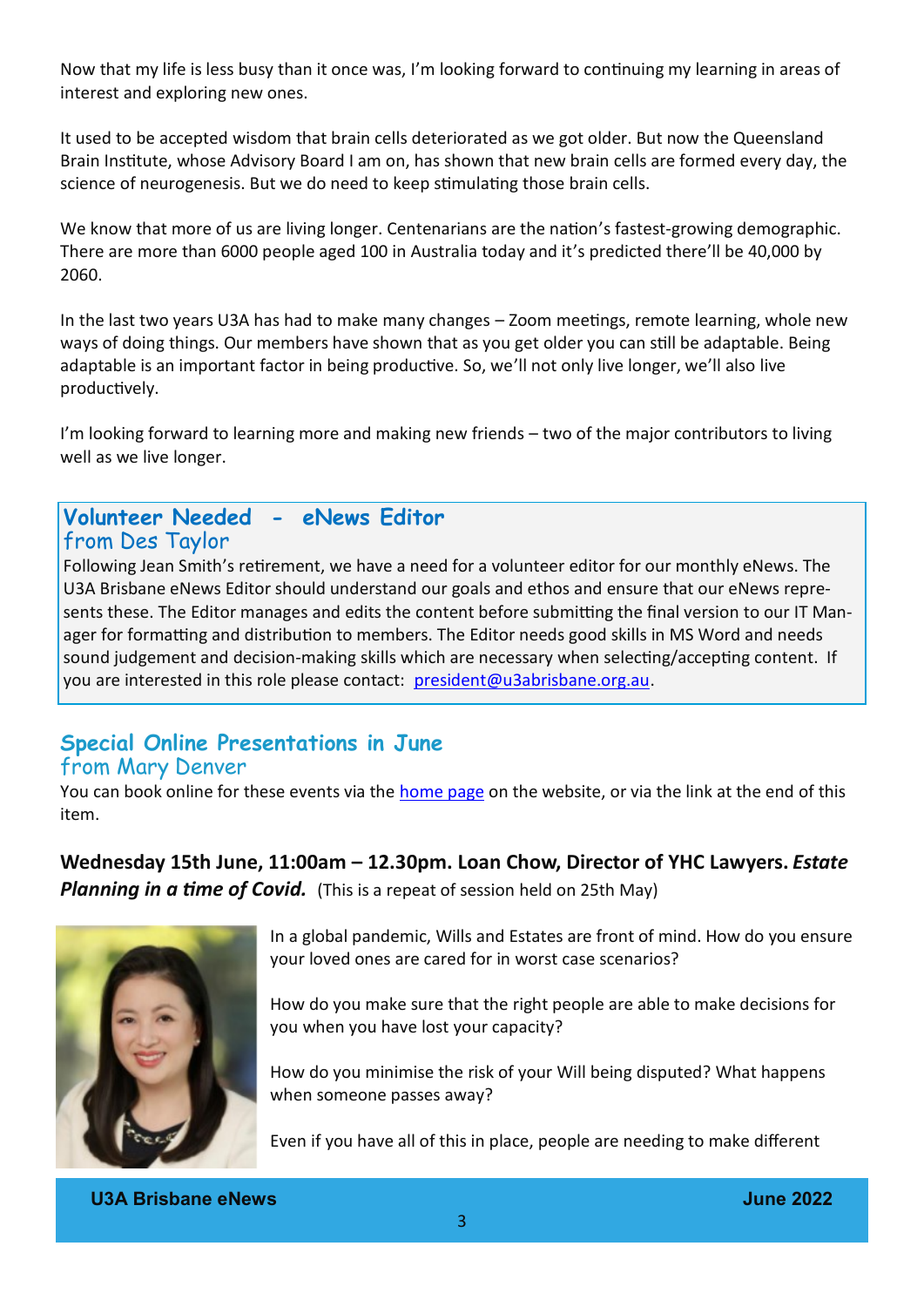Now that my life is less busy than it once was, I'm looking forward to continuing my learning in areas of interest and exploring new ones.

It used to be accepted wisdom that brain cells deteriorated as we got older. But now the Queensland Brain Institute, whose Advisory Board I am on, has shown that new brain cells are formed every day, the science of neurogenesis. But we do need to keep stimulating those brain cells.

We know that more of us are living longer. Centenarians are the nation's fastest-growing demographic. There are more than 6000 people aged 100 in Australia today and it's predicted there'll be 40,000 by 2060.

In the last two years U3A has had to make many changes – Zoom meetings, remote learning, whole new ways of doing things. Our members have shown that as you get older you can still be adaptable. Being adaptable is an important factor in being productive. So, we'll not only live longer, we'll also live productively.

I'm looking forward to learning more and making new friends – two of the major contributors to living well as we live longer.

#### **Volunteer Needed - eNews Editor** from Des Taylor

Following Jean Smith's retirement, we have a need for a volunteer editor for our monthly eNews. The U3A Brisbane eNews Editor should understand our goals and ethos and ensure that our eNews represents these. The Editor manages and edits the content before submitting the final version to our IT Manager for formatting and distribution to members. The Editor needs good skills in MS Word and needs sound judgement and decision-making skills which are necessary when selecting/accepting content. If you are interested in this role please contact: [president@u3abrisbane.org.au.](mailto:president@u3abrisbane.org.au)

### **Special Online Presentations in June** from Mary Denver

You can book online for these events via the [home page](https://u3abrisbane.org.au) on the website, or via the link at the end of this item.

**Wednesday 15th June, 11:00am – 12.30pm. Loan Chow, Director of YHC Lawyers.** *Estate*  **Planning in a time of Covid.** (This is a repeat of session held on 25th May)



In a global pandemic, Wills and Estates are front of mind. How do you ensure your loved ones are cared for in worst case scenarios?

How do you make sure that the right people are able to make decisions for you when you have lost your capacity?

How do you minimise the risk of your Will being disputed? What happens when someone passes away?

Even if you have all of this in place, people are needing to make different

**U3A Brisbane eNews June 2022**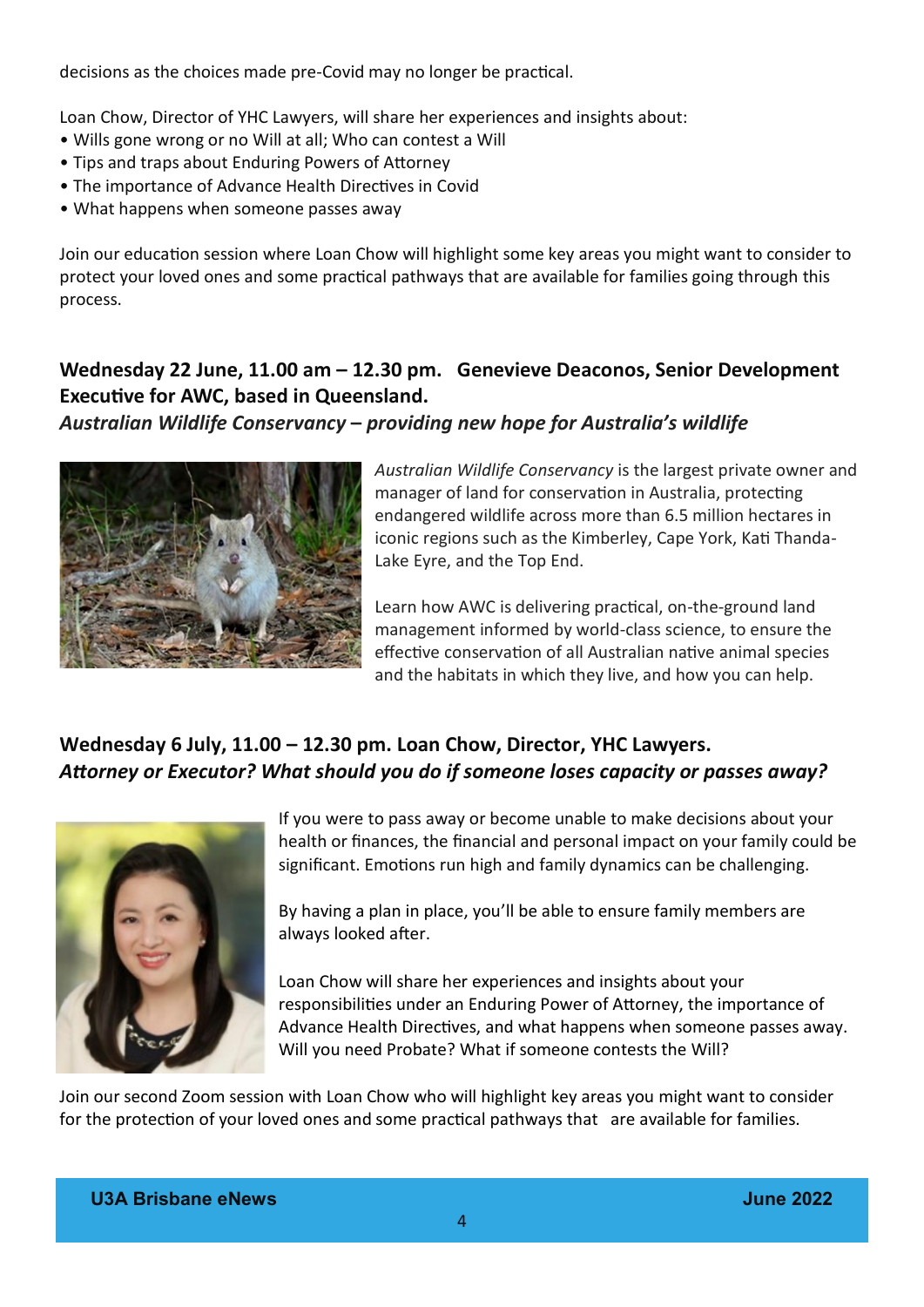decisions as the choices made pre-Covid may no longer be practical.

Loan Chow, Director of YHC Lawyers, will share her experiences and insights about:

- Wills gone wrong or no Will at all; Who can contest a Will
- Tips and traps about Enduring Powers of Attorney
- The importance of Advance Health Directives in Covid
- What happens when someone passes away

Join our education session where Loan Chow will highlight some key areas you might want to consider to protect your loved ones and some practical pathways that are available for families going through this process.

### **Wednesday 22 June, 11.00 am – 12.30 pm. Genevieve Deaconos, Senior Development Executive for AWC, based in Queensland.**

#### *Australian Wildlife Conservancy* **–** *providing new hope for Australia's wildlife*



*Australian Wildlife Conservancy* is the largest private owner and manager of land for conservation in Australia, protecting endangered wildlife across more than 6.5 million hectares in iconic regions such as the Kimberley, Cape York, Kati Thanda-Lake Eyre, and the Top End.

Learn how AWC is delivering practical, on-the-ground land management informed by world-class science, to ensure the effective conservation of all Australian native animal species and the habitats in which they live, and how you can help.

### **Wednesday 6 July, 11.00 – 12.30 pm. Loan Chow, Director, YHC Lawyers.**  *Attorney or Executor? What should you do if someone loses capacity or passes away?*



If you were to pass away or become unable to make decisions about your health or finances, the financial and personal impact on your family could be significant. Emotions run high and family dynamics can be challenging.

By having a plan in place, you'll be able to ensure family members are always looked after.

Loan Chow will share her experiences and insights about your responsibilities under an Enduring Power of Attorney, the importance of Advance Health Directives, and what happens when someone passes away. Will you need Probate? What if someone contests the Will?

Join our second Zoom session with Loan Chow who will highlight key areas you might want to consider for the protection of your loved ones and some practical pathways that are available for families.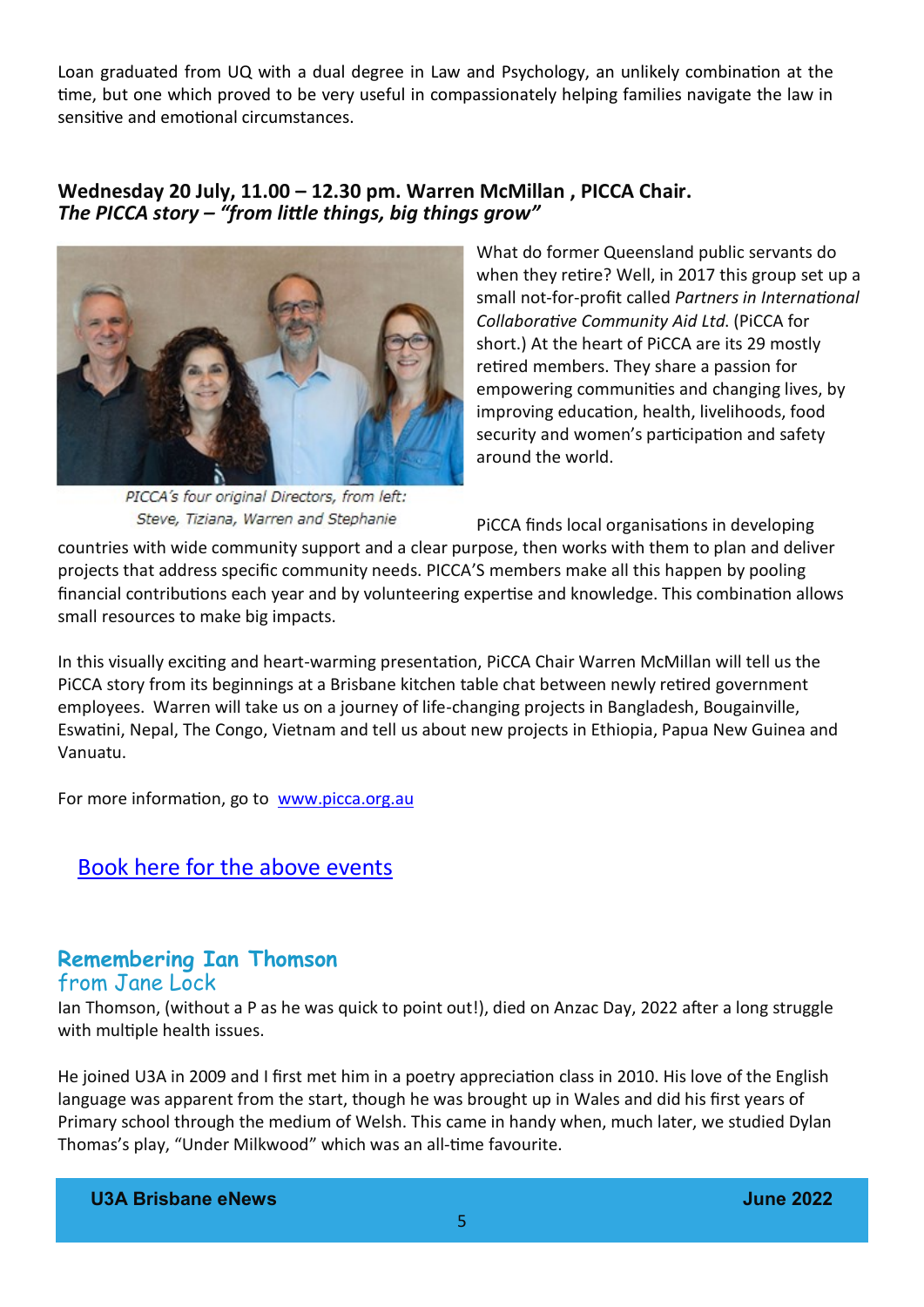Loan graduated from UQ with a dual degree in Law and Psychology, an unlikely combination at the time, but one which proved to be very useful in compassionately helping families navigate the law in sensitive and emotional circumstances.

#### **Wednesday 20 July, 11.00 – 12.30 pm. Warren McMillan , PICCA Chair.**  *The PICCA story – "from little things, big things grow"*



PICCA's four original Directors, from left: Steve, Tiziana, Warren and Stephanie

What do former Queensland public servants do when they retire? Well, in 2017 this group set up a small not-for-profit called *Partners in International Collaborative Community Aid Ltd*. (PiCCA for short.) At the heart of PiCCA are its 29 mostly retired members. They share a passion for empowering communities and changing lives, by improving education, health, livelihoods, food security and women's participation and safety around the world.

PiCCA finds local organisations in developing

countries with wide community support and a clear purpose, then works with them to plan and deliver projects that address specific community needs. PICCA'S members make all this happen by pooling financial contributions each year and by volunteering expertise and knowledge. This combination allows small resources to make big impacts.

In this visually exciting and heart-warming presentation, PiCCA Chair Warren McMillan will tell us the PiCCA story from its beginnings at a Brisbane kitchen table chat between newly retired government employees. Warren will take us on a journey of life-changing projects in Bangladesh, Bougainville, Eswatini, Nepal, The Congo, Vietnam and tell us about new projects in Ethiopia, Papua New Guinea and Vanuatu.

For more information, go to [www.picca.org.au](http://www.picca.org.au)

[Book here for the above events](https://www.u3abrisbane.org.au/event-enrol)

#### **Remembering Ian Thomson** from Jane Lock

Ian Thomson, (without a P as he was quick to point out!), died on Anzac Day, 2022 after a long struggle with multiple health issues.

He joined U3A in 2009 and I first met him in a poetry appreciation class in 2010. His love of the English language was apparent from the start, though he was brought up in Wales and did his first years of Primary school through the medium of Welsh. This came in handy when, much later, we studied Dylan Thomas's play, "Under Milkwood" which was an all-time favourite.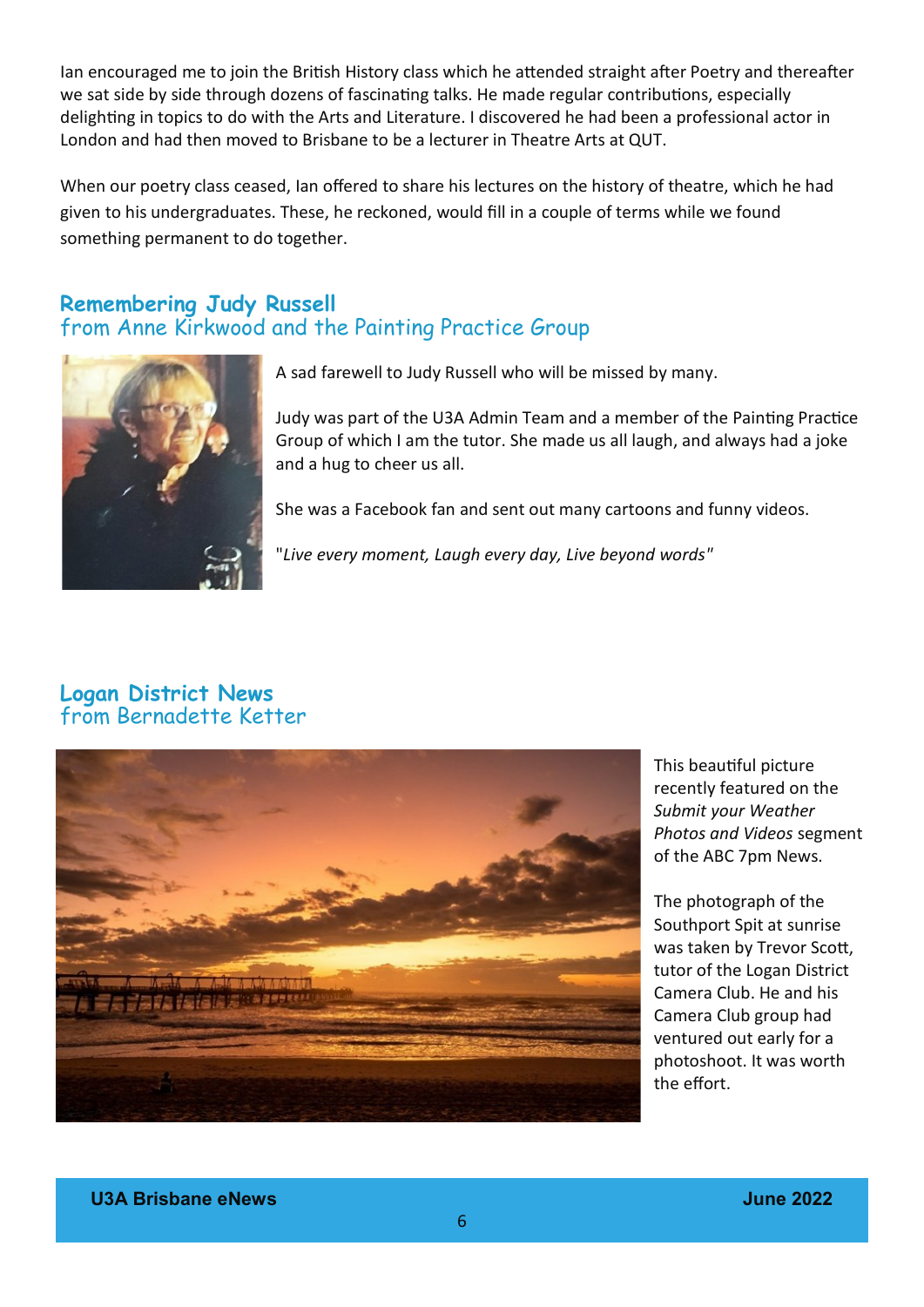Ian encouraged me to join the British History class which he attended straight after Poetry and thereafter we sat side by side through dozens of fascinating talks. He made regular contributions, especially delighting in topics to do with the Arts and Literature. I discovered he had been a professional actor in London and had then moved to Brisbane to be a lecturer in Theatre Arts at QUT.

When our poetry class ceased, Ian offered to share his lectures on the history of theatre, which he had given to his undergraduates. These, he reckoned, would fill in a couple of terms while we found something permanent to do together.

### **Remembering Judy Russell** from Anne Kirkwood and the Painting Practice Group



A sad farewell to Judy Russell who will be missed by many.

Judy was part of the U3A Admin Team and a member of the Painting Practice Group of which I am the tutor. She made us all laugh, and always had a joke and a hug to cheer us all.

She was a Facebook fan and sent out many cartoons and funny videos.

"*Live every moment, Laugh every day, Live beyond words"*

### **Logan District News** from Bernadette Ketter



This beautiful picture recently featured on the *Submit your Weather Photos and Videos* segment of the ABC 7pm News.

The photograph of the Southport Spit at sunrise was taken by Trevor Scott, tutor of the Logan District Camera Club. He and his Camera Club group had ventured out early for a photoshoot. It was worth the effort.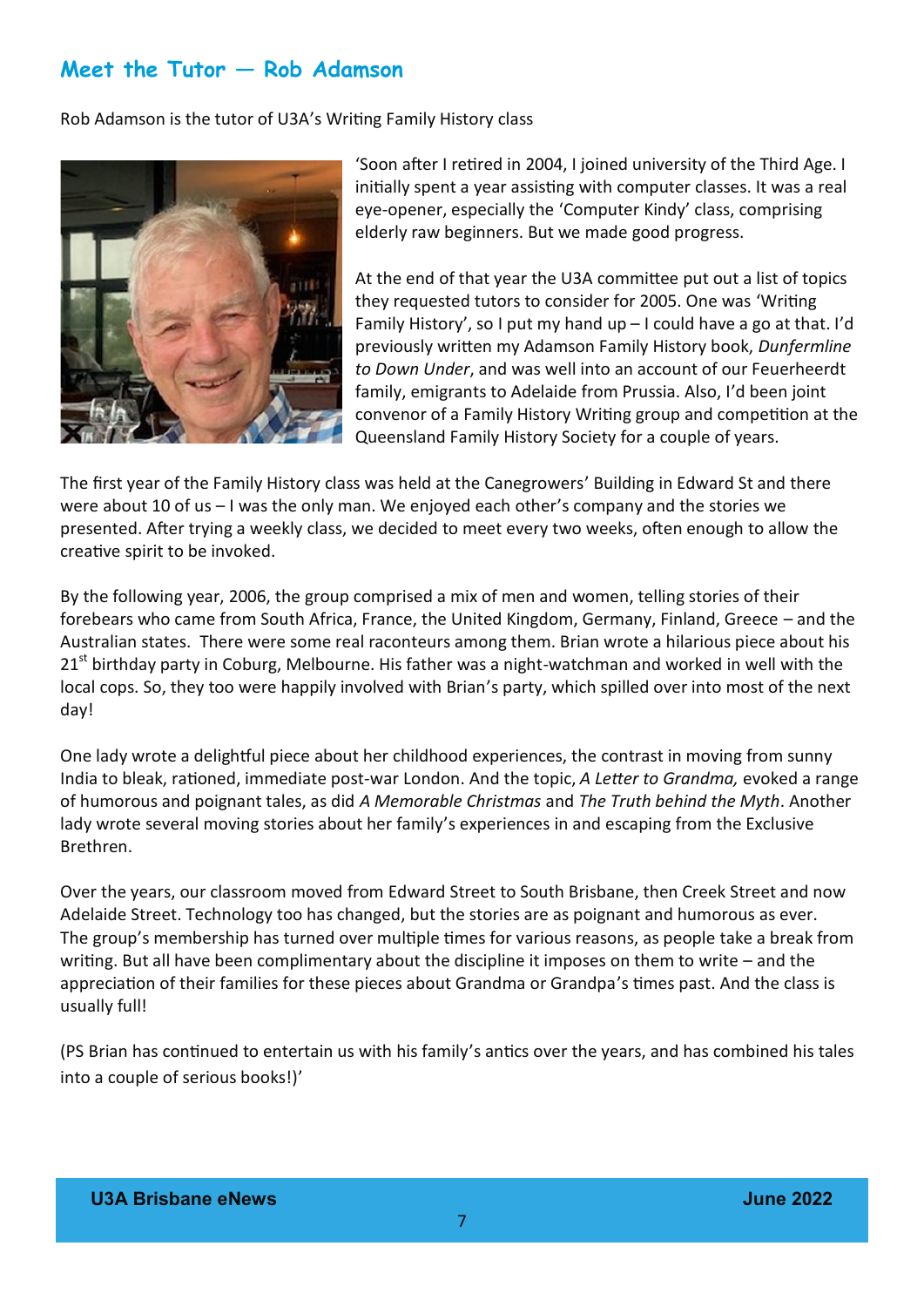## **Meet the Tutor — Rob Adamson**

Rob Adamson is the tutor of U3A's Writing Family History class



'Soon after I retired in 2004, I joined university of the Third Age. I initially spent a year assisting with computer classes. It was a real eye-opener, especially the 'Computer Kindy' class, comprising elderly raw beginners. But we made good progress.

At the end of that year the U3A committee put out a list of topics they requested tutors to consider for 2005. One was 'Writing Family History', so I put my hand up  $-1$  could have a go at that. I'd previously written my Adamson Family History book, *Dunfermline to Down Under*, and was well into an account of our Feuerheerdt family, emigrants to Adelaide from Prussia. Also, I'd been joint convenor of a Family History Writing group and competition at the Queensland Family History Society for a couple of years.

The first year of the Family History class was held at the Canegrowers' Building in Edward St and there were about 10 of us – I was the only man. We enjoyed each other's company and the stories we presented. After trying a weekly class, we decided to meet every two weeks, often enough to allow the creative spirit to be invoked.

By the following year, 2006, the group comprised a mix of men and women, telling stories of their forebears who came from South Africa, France, the United Kingdom, Germany, Finland, Greece – and the Australian states. There were some real raconteurs among them. Brian wrote a hilarious piece about his  $21<sup>st</sup>$  birthday party in Coburg, Melbourne. His father was a night-watchman and worked in well with the local cops. So, they too were happily involved with Brian's party, which spilled over into most of the next day!

One lady wrote a delightful piece about her childhood experiences, the contrast in moving from sunny India to bleak, rationed, immediate post-war London. And the topic, *A Letter to Grandma,* evoked a range of humorous and poignant tales, as did *A Memorable Christmas* and *The Truth behind the Myth*. Another lady wrote several moving stories about her family's experiences in and escaping from the Exclusive Brethren.

Over the years, our classroom moved from Edward Street to South Brisbane, then Creek Street and now Adelaide Street. Technology too has changed, but the stories are as poignant and humorous as ever. The group's membership has turned over multiple times for various reasons, as people take a break from writing. But all have been complimentary about the discipline it imposes on them to write – and the appreciation of their families for these pieces about Grandma or Grandpa's times past. And the class is usually full!

(PS Brian has continued to entertain us with his family's antics over the years, and has combined his tales into a couple of serious books!)'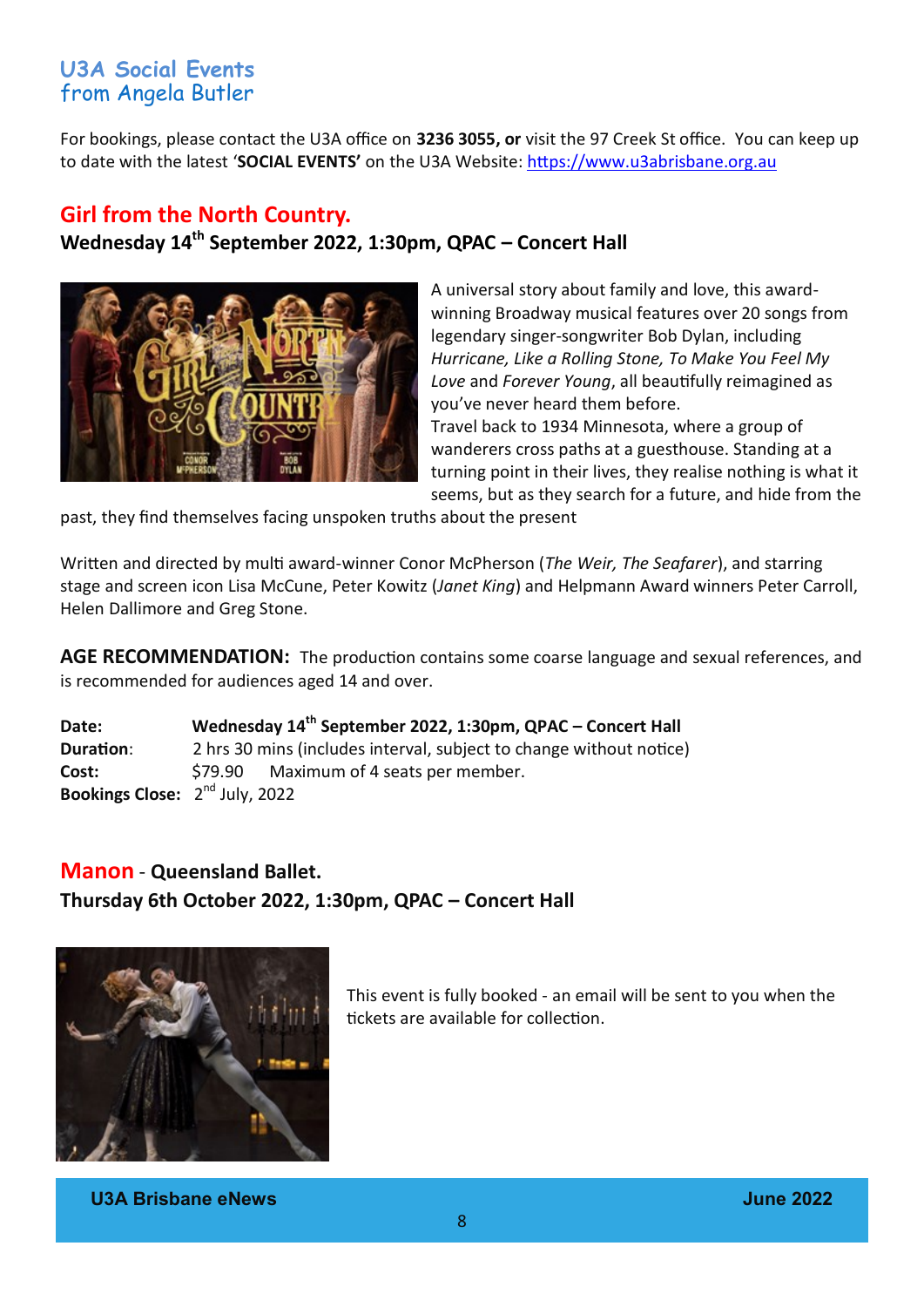## **U3A Social Events** from Angela Butler

For bookings, please contact the U3A office on **3236 3055, or** visit the 97 Creek St office.You can keep up to date with the latest '**SOCIAL EVENTS'** on the U3A Website: [https://www.u3abrisbane.org.au](https://www.u3abrisbane.org.au/groups/social-group)

#### **Girl from the North Country.**

**Wednesday 14th September 2022, 1:30pm, QPAC – Concert Hall**



A universal story about family and love, this awardwinning Broadway musical features over 20 songs from legendary singer-songwriter Bob Dylan, including *Hurricane, Like a Rolling Stone, To Make You Feel My Love* and *Forever Young*, all beautifully reimagined as you've never heard them before. Travel back to 1934 Minnesota, where a group of wanderers cross paths at a guesthouse. Standing at a turning point in their lives, they realise nothing is what it seems, but as they search for a future, and hide from the

past, they find themselves facing unspoken truths about the present

Written and directed by multi award-winner Conor McPherson (*The Weir, The Seafarer*), and starring stage and screen icon Lisa McCune, Peter Kowitz (*Janet King*) and Helpmann Award winners Peter Carroll, Helen Dallimore and Greg Stone.

**AGE RECOMMENDATION:** The production contains some coarse language and sexual references, and is recommended for audiences aged 14 and over.

**Date: Wednesday 14th September 2022, 1:30pm, QPAC – Concert Hall Duration:** 2 hrs 30 mins (includes interval, subject to change without notice) Cost:  $$79.90$  Maximum of 4 seats per member. **Bookings Close:** 2<sup>nd</sup> July, 2022

# **Manon** - **Queensland Ballet. Thursday 6th October 2022, 1:30pm, QPAC – Concert Hall**



This event is fully booked - an email will be sent to you when the tickets are available for collection.

**U3A Brisbane eNews June 2022**